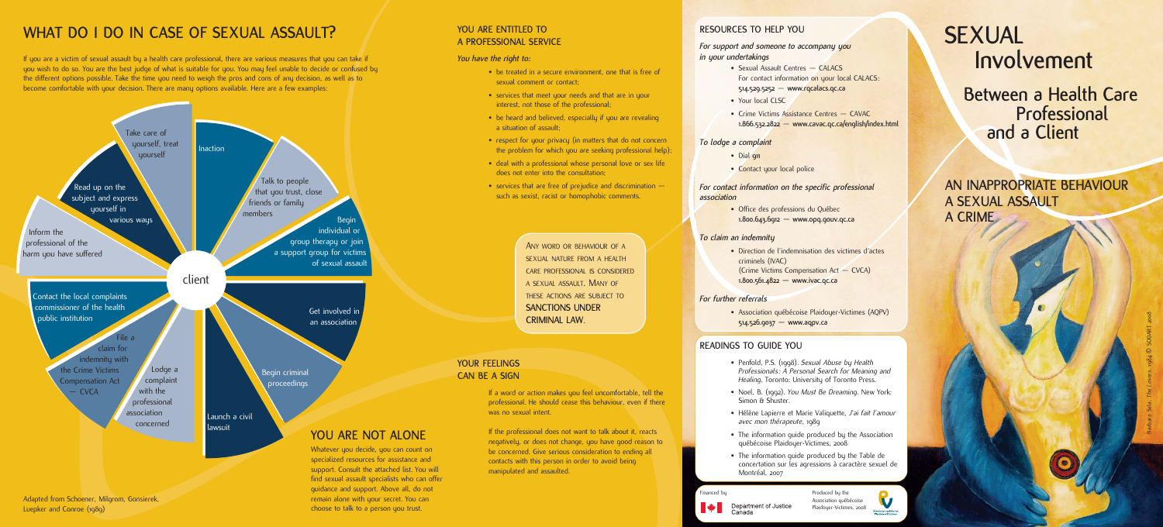# **SEXUAL Involvement**

**Between a Health Care Professional and a Client**

**AN INAPPROPRIATE BEHAVIOUR A SEXUAL ASSAULT A CRIME**

## **RESOURCES TO HELP YOU**

• Sexual Assault Centres — CALACS For contact information on your local CALACS: **514.529.5252** — **www.rqcalacs.qc.ca**

#### *For support and someone to accompany you in your undertakings*

• Crime Victims Assistance Centres – CAVAC **1.866.532.2822** — **www.cavac.qc.ca/english/index.html**

- 
- Your local CLSC
- 

#### *To lodge a complaint*

- Dial **911**
- Contact your local police

*For contact information on the specific professional*

# *association*

• Office des professions du Québec **1.800.643.6912 — www.opq.gouv.qc.ca**

#### *To claim an indemnity*

criminels (IVAC)

• Direction de l'indemnisation des victimes d'actes (Crime Victims Compensation Act — CVCA) **1.800.561.4822 — www.ivac.qc.ca**

#### *For further referrals*

• Association québécoise Plaidoyer-Victimes (AQPV) **514.526.9037 — www.aqpv.ca**

## **READINGS TO GUIDE YOU**

• Penfold, P.S. (1998). *Sexual Abuse by Health Professionals: A Personal Search for Meaning and Healing*. Toronto: University of Toronto Press.

- be treated in a secure environment, one that is free of sexual comment or contact;
- services that meet your needs and that are in your interest, not those of the professional;
- be heard and believed, especially if you are revealing a situation of assault;
- respect for your privacy (in matters that do not concern the problem for which you are seeking professional help);
- deal with a professional whose personal love or sex life does not enter into the consultation;
- services that are free of prejudice and discrimination  $$ such as sexist, racist or homophobic comments.

• Noel, B. (1992). *You Must Be Dreaming*. New York:

• Hélène Lapierre et Marie Valiquette, *J'ai fait l'amour avec mon thérapeute,* 1989

• The information guide produced by the Association québécoise Plaidoyer-Victimes, 2008

- 
- Simon & Shuster.
- 
- 
- Montréal, 2007

Financed by Department of Justice

• The information guide produced by the Table de concertation sur les agressions à caractère sexuel de

#### **YOU ARE ENTITLED TO A PROFESSIONAL SERVICE**

*You have the right to:*

## **YOUR FEELINGS CAN BE A SIGN**

If a word or action makes you feel uncomfortable, tell the professional. He should cease this behaviour, even if there was no sexual intent.

If the professional does not want to talk about it, reacts negatively, or does not change, you have good reason to be concerned. Give serious consideration to ending all contacts with this person in order to avoid being manipulated and assaulted.

> Produced by the Association québécoise Plaidoyer-Victimes, 2008



ANY WORD OR BEHAVIOUR OF A SEXUAL NATURE FROM A HEALTH CARE PROFESSIONAL IS CONSIDERED A SEXUAL ASSAULT. MANY OF THESE ACTIONS ARE SUBJECT TO **SANCTIONS UNDER CRIMINAL LAW**.

# WHAT DO 1 DO IN CASE OF SEXUAL ASSAULT?

If you are a victim of sexual assault by a health care professional, there are various measures that you can take if you wish to do so. You are the best judge of what is suitable for you. You may feel unable to decide or confused by the different options possible. Take the time you need to weigh the pros and cons of any decision, as well as to become comfortable with your decision. There are many options available. Here are a few examples:

> specialized resources for assistance and support. Consult the attached list. You will find sexual assault specialists who can offer guidance and support. Above all, do not remain alone with your secret. You can choose to talk to a person you trust.

Adapted from Schoener, Milgrom, Gonsierek, Luepker and Conroe (1989)